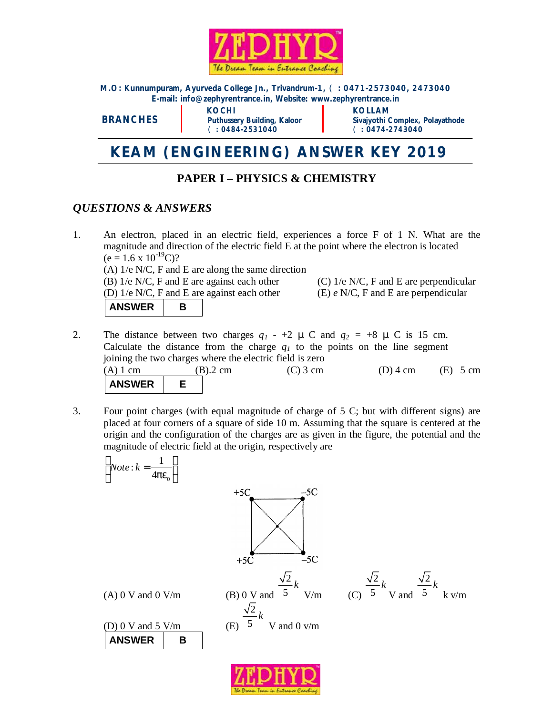

**M.O: Kunnumpuram, Ayurveda College Jn., Trivandrum-1,** (**: 0471-2573040, 2473040 E-mail: [info@zephyrentrance.in](mailto:info@zephyrentrance.in), Website: [www.zephyrentrance.in](http://www.zephyrentrance.in)**

**BRANCHES**

 **KOCHI KOLLAM** (**: 0484-2531040** (**: 0474-2743040** 

**Puthussery Building, Kaloor Sivajyothi Complex, Polayathode** 

# **KEAM (ENGINEERING) ANSWER KEY 2019**

# **PAPER I – PHYSICS & CHEMISTRY**

## *QUESTIONS & ANSWERS*

- 1. An electron, placed in an electric field, experiences a force F of 1 N. What are the magnitude and direction of the electric field E at the point where the electron is located  $(e = 1.6 \times 10^{-19}C)?$ (A) 1/e N/C, F and E are along the same direction (B)  $1/e$  N/C, F and E are against each other (C)  $1/e$  N/C, F and E are perpendicular (D) 1/e N/C, F and E are against each other (E) *e* N/C, F and E are perpendicular ANSWER | B
- 2. The distance between two charges  $q_1$  +2  $\mu$  C and  $q_2$  = +8  $\mu$  C is 15 cm. Calculate the distance from the charge  $q<sub>I</sub>$  to the points on the line segment joining the two charges where the electric field is zero

| $(A)$ 1 cm    | $(B).2$ cm | $(C)$ 3 cm | $(D)$ 4 cm | $(E)$ 5 cm |
|---------------|------------|------------|------------|------------|
| <b>ANSWER</b> |            |            |            |            |

3. Four point charges (with equal magnitude of charge of 5 C; but with different signs) are placed at four corners of a square of side 10 m. Assuming that the square is centered at the origin and the configuration of the charges are as given in the figure, the potential and the magnitude of electric field at the origin, respectively are



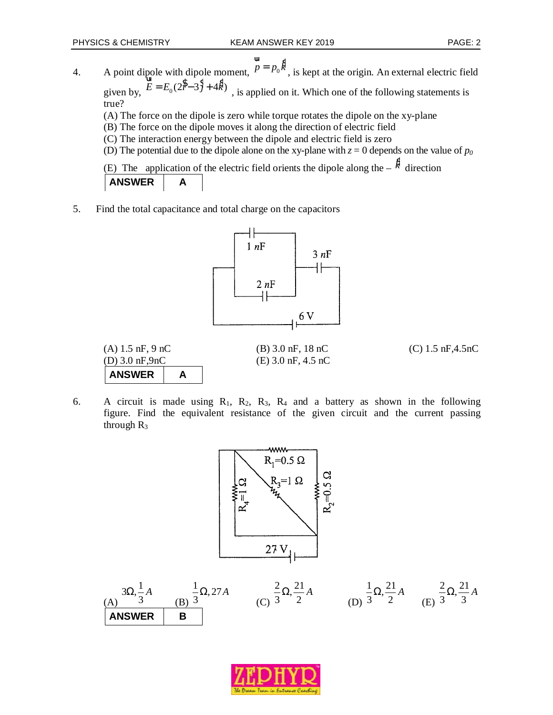4. A point dipole with dipole moment,  $\vec{p} = p_0 \hat{k}$ ur *,* is kept at the origin. An external electric field given by,  $E = E_0(2\hat{S} - 3\hat{S} + 4\hat{K})$ *,* is applied on it. Which one of the following statements is true?

(A) The force on the dipole is zero while torque rotates the dipole on the xy-plane

- (B) The force on the dipole moves it along the direction of electric field
- (C) The interaction energy between the dipole and electric field is zero
- (D) The potential due to the dipole alone on the xy-plane with  $z = 0$  depends on the value of  $p_0$

(E) The application of the electric field orients the dipole along the  $-\hat{k}$  direction ANSWER | A

5. Find the total capacitance and total charge on the capacitors



(A) 1.5 nF, 9 nC (B) 3.0 nF, 18 nC (C) 1.5 nF,4.5nC (D) 3.0 nF,9nC (E) 3.0 nF, 4.5 nC **ANSWER | A** 

6. A circuit is made using  $R_1$ ,  $R_2$ ,  $R_3$ ,  $R_4$  and a battery as shown in the following figure. Find the equivalent resistance of the given circuit and the current passing through  $R_3$ 



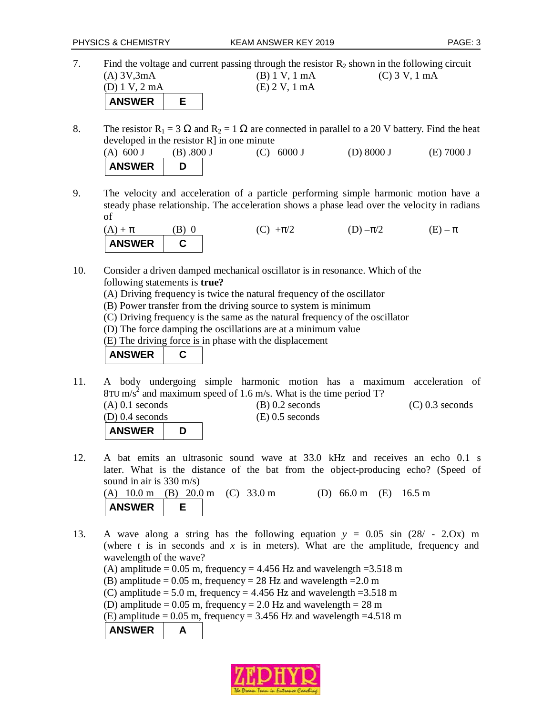7. Find the voltage and current passing through the resistor  $R_2$  shown in the following circuit (A) 3V,3mA (B) 1 V, 1 mA (C) 3 V, 1 mA (D) 1 V, 2 mA (E) 2 V, 1 mA **ANSWER E** 

8. The resistor  $R_1 = 3 \Omega$  and  $R_2 = 1 \Omega$  are connected in parallel to a 20 V battery. Find the heat developed in the resistor R] in one minute

(A)  $600 \text{ J}$  (B)  $.800 \text{ J}$  (C)  $6000 \text{ J}$  (D)  $8000 \text{ J}$  (E)  $7000 \text{ J}$ **ANSWER D** 

9. The velocity and acceleration of a particle performing simple harmonic motion have a steady phase relationship. The acceleration shows a phase lead over the velocity in radians of

(A) + 
$$
\pi
$$
 (B) 0 (C) + $\pi$ /2 (D) - $\pi$ /2 (E) -  $\pi$   
ANSWER (D) - $\pi$ /2 (E) -  $\pi$ 

- 10. Consider a driven damped mechanical oscillator is in resonance. Which of the following statements is **true?**
	- (A) Driving frequency is twice the natural frequency of the oscillator
	- (B) Power transfer from the driving source to system is minimum
	- (C) Driving frequency is the same as the natural frequency of the oscillator
	- (D) The force damping the oscillations are at a minimum value
	- (E) The driving force is in phase with the displacement
	- **ANSWER C**

**ANSWER D** 

- 11. A body undergoing simple harmonic motion has a maximum acceleration of 8TU m/s<sup>2</sup> and maximum speed of 1.6 m/s. What is the time period T? (A) 0.1 seconds (B) 0.2 seconds (C) 0.3 seconds (D) 0.4 seconds (E) 0.5 seconds
- 12. A bat emits an ultrasonic sound wave at 33.0 kHz and receives an echo 0.1 s later. What is the distance of the bat from the object-producing echo? (Speed of sound in air is 330 m/s)

(A) 10.0 m (B) 20.0 m (C) 33.0 m (D) 66.0 m (E) 16.5 m **ANSWER E** 

13. A wave along a string has the following equation *y* = 0.05 sin (28/ - 2.Ox) m (where *t* is in seconds and *x* is in meters). What are the amplitude, frequency and wavelength of the wave?

(A) amplitude =  $0.05$  m, frequency =  $4.456$  Hz and wavelength =  $3.518$  m

- (B) amplitude =  $0.05$  m, frequency =  $28$  Hz and wavelength =  $2.0$  m
- (C) amplitude = 5.0 m, frequency = 4.456 Hz and wavelength =  $3.518$  m
- (D) amplitude  $= 0.05$  m, frequency  $= 2.0$  Hz and wavelength  $= 28$  m

(E) amplitude =  $0.05$  m, frequency =  $3.456$  Hz and wavelength = 4.518 m

ANSWER | A

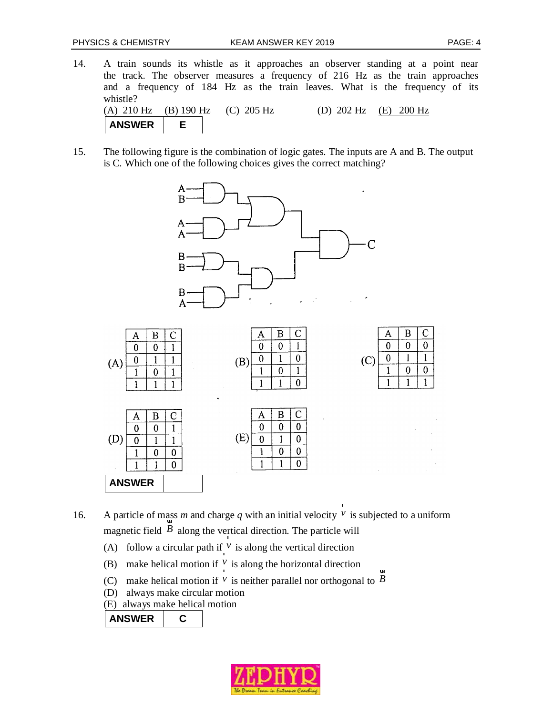- ٦ 14. A train sounds its whistle as it approaches an observer standing at a point near the track. The observer measures a frequency of 216 Hz as the train approaches and a frequency of 184 Hz as the train leaves. What is the frequency of its whistle? (A) 210 Hz (B) 190 Hz (C) 205 Hz (D) 202 Hz (E) 200 Hz **ANSWER E**
- 15. The following figure is the combination of logic gates. The inputs are A and B. The output is C. Which one of the following choices gives the correct matching?



16. A particle of mass *m* and charge *q* with an initial velocity  $V$ ass *m* and charge *q* with an initial velocity <sup>*v*</sup> is subjected to a uniform magnetic field  $\overline{B}$  along the vertical direction. The particle will

- (A) follow a circular path if  $\frac{v}{r}$  is along the vertical direction
- (B) make helical motion if  $\frac{v}{r}$  is along the horizontal direction
- (C) make helical motion if  $V$  is neither parallel nor orthogonal to  $\overline{B}$ u
- (D) always make circular motion
- (E) always make helical motion

ANSWER | C

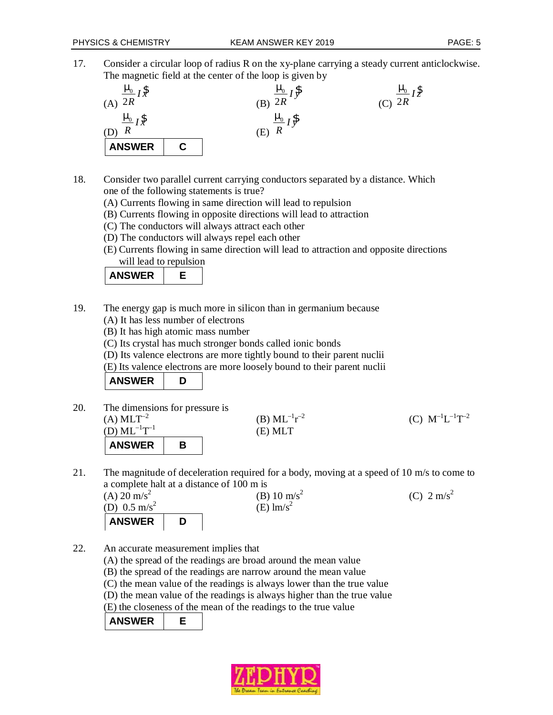17. Consider a circular loop of radius R on the xy-plane carrying a steady current anticlockwise. The magnetic field at the center of the loop is given by



- 18. Consider two parallel current carrying conductors separated by a distance. Which one of the following statements is true?
	- (A) Currents flowing in same direction will lead to repulsion
	- (B) Currents flowing in opposite directions will lead to attraction
	- (C) The conductors will always attract each other
	- (D) The conductors will always repel each other
	- (E) Currents flowing in same direction will lead to attraction and opposite directions

will lead to repulsion

|--|

- 19. The energy gap is much more in silicon than in germanium because
	- (A) It has less number of electrons
	- (B) It has high atomic mass number
	- (C) Its crystal has much stronger bonds called ionic bonds
	- (D) Its valence electrons are more tightly bound to their parent nuclii
	- (E) Its valence electrons are more loosely bound to their parent nuclii

ANSWER D

- 20. The dimensions for pressure is (A)  $MLT^{-2}$  (B)  $ML^{-1}r^{-2}$  $^{12}$  (C)  $\text{M}^{-1}\text{L}^{-1}\text{T}^{-2}$  $(D)ML^{-1}T^{-1}$  (E) MLT ANSWER B
- 21. The magnitude of deceleration required for a body, moving at a speed of 10 m/s to come to a complete halt at a distance of 100 m is  $(A)$  20 m/s<sup>2</sup> (B) 10 m/s<sup>2</sup> (C)  $2 \text{ m/s}^2$

(D)  $0.5 \text{ m/s}^2$  $(E)$  lm/s<sup>2</sup> ANSWER D

- 22. An accurate measurement implies that
	- (A) the spread of the readings are broad around the mean value
	- (B) the spread of the readings are narrow around the mean value
	- (C) the mean value of the readings is always lower than the true value
	- (D) the mean value of the readings is always higher than the true value
	- (E) the closeness of the mean of the readings to the true value

**ANSWER E** 

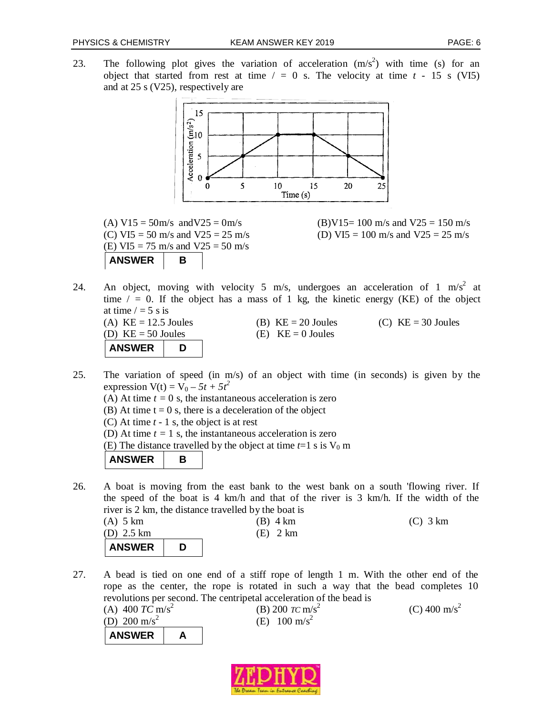23. The following plot gives the variation of acceleration  $(m/s^2)$  with time (s) for an object that started from rest at time  $/ = 0$  s. The velocity at time  $t - 15$  s (VI5) and at 25 s (V25), respectively are



(E) VI5 = 75 m/s and V25 = 50 m/s ANSWER | B

(A)  $V15 = 50$ m/s and  $V25 = 0$ m/s (B) $V15 = 100$  m/s and  $V25 = 150$  m/s (C) VI5 = 50 m/s and V25 = 25 m/s (D) VI5 = 100 m/s and V25 = 25 m/s

24. An object, moving with velocity 5 m/s, undergoes an acceleration of 1 m/s<sup>2</sup> at time  $/ = 0$ . If the object has a mass of 1 kg, the kinetic energy (KE) of the object at time  $/ = 5$  s is (A)  $KE = 12.5$  Joules (B)  $KE = 20$  Joules (C)  $KE = 30$  Joules

```
(D) KE = 50 Joules (E) KE = 0 Joules
ANSWER D
```
- 25. The variation of speed (in m/s) of an object with time (in seconds) is given by the expression  $V(t) = V_0 - 5t + 5t^2$ 
	- (A) At time  $t = 0$  s, the instantaneous acceleration is zero
	- (B) At time  $t = 0$  s, there is a deceleration of the object
	- (C) At time *t* 1 s, the object is at rest
	- (D) At time  $t = 1$  s, the instantaneous acceleration is zero
	- (E) The distance travelled by the object at time  $t=1$  s is  $V_0$  m

ANSWER B

- 26. A boat is moving from the east bank to the west bank on a south 'flowing river. If the speed of the boat is 4 km/h and that of the river is 3 km/h. If the width of the river is 2 km, the distance travelled by the boat is
	- (A) 5 km (B) 4 km (C) 3 km (D) 2.5 km (E) 2 km **ANSWER D**
- 27. A bead is tied on one end of a stiff rope of length 1 m. With the other end of the rope as the center, the rope is rotated in such a way that the bead completes 10 revolutions per second. The centripetal acceleration of the bead is

(A) 400 
$$
TC \text{ m/s}^2
$$
  
\n(B) 200  $TC \text{ m/s}^2$   
\n(C) 400 m/s<sup>2</sup>  
\n**ANSWER**  
\n**A**  
\n**ANSWER**  
\n**A**

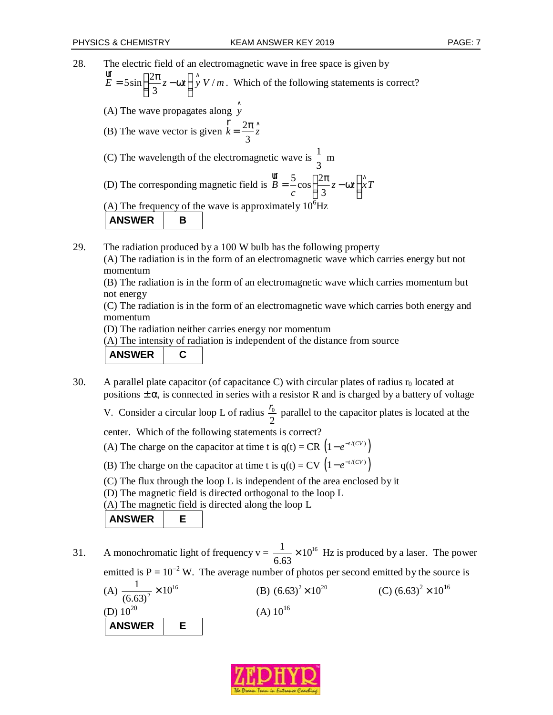٦ 28. The electric field of an electromagnetic wave in free space is given by  $5\sin\left(\frac{2\pi}{2}z-\omega t\right)$   $\hat{y}$  V/ 3  $E = 5 \sin \left( \frac{2\pi}{3} z - \omega t \right) \hat{y} V/m$ ur . Which of the following statements is correct? (A) The wave propagates along *y* ∧ (B) The wave vector is given  $k = \frac{2}{3}$ 3  $\mathbf{r}_k = 2\pi \hat{z}$ r (C) The wavelength of the electromagnetic wave is  $\frac{1}{2}$ 3 m (D) The corresponding magnetic field is  $B = -\cos\left(\frac{2}{x}\right)$ 3  $B = -\cos \left( \frac{2\pi}{2} z - \omega t \right) \left| xT \right|$ *c*  $=\frac{5}{c}\cos\left(\frac{2\pi}{3}z-\omega t\right)x$ ur (A) The frequency of the wave is approximately  $10^6$ Hz ANSWER B

29. The radiation produced by a 100 W bulb has the following property (A) The radiation is in the form of an electromagnetic wave which carries energy but not momentum

(B) The radiation is in the form of an electromagnetic wave which carries momentum but not energy

(C) The radiation is in the form of an electromagnetic wave which carries both energy and momentum

(D) The radiation neither carries energy nor momentum

(A) The intensity of radiation is independent of the distance from source

#### **ANSWER C**

30. A parallel plate capacitor (of capacitance C) with circular plates of radius  $r_0$  located at positions  $\pm \alpha$ , is connected in series with a resistor R and is charged by a battery of voltage

V. Consider a circular loop L of radius  $\frac{70}{5}$ 2  $\frac{r_0}{r_2}$  parallel to the capacitor plates is located at the

center. Which of the following statements is correct?

(A) The charge on the capacitor at time t is  $q(t) = CR \left(1 - e^{-t/(CV)}\right)$ 

- (B) The charge on the capacitor at time t is  $q(t) = CV \left(1 e^{-t/(CV)}\right)$
- (C) The flux through the loop L is independent of the area enclosed by it

(D) The magnetic field is directed orthogonal to the loop L

(A) The magnetic field is directed along the loop L

**ANSWER E** 

31. A monochromatic light of frequency  $v = \frac{1}{1.5} \times 10^{16}$ 6.63  $\times 10^{16}$  Hz is produced by a laser. The power emitted is  $P = 10^{-2}$  W. The average number of photos per second emitted by the source is (A)  $\frac{1}{(6.63)^2} \times 10^{16}$  $\frac{1}{10^{2}} \times 10$  $(6.63)$  $\times 10^{16}$  (B)  $(6.63)^2 \times 10^{20}$  (C)  $(6.63)^2 \times 10^{16}$ (D)  $10^{20}$  (A)  $10^{16}$ **ANSWER E** 

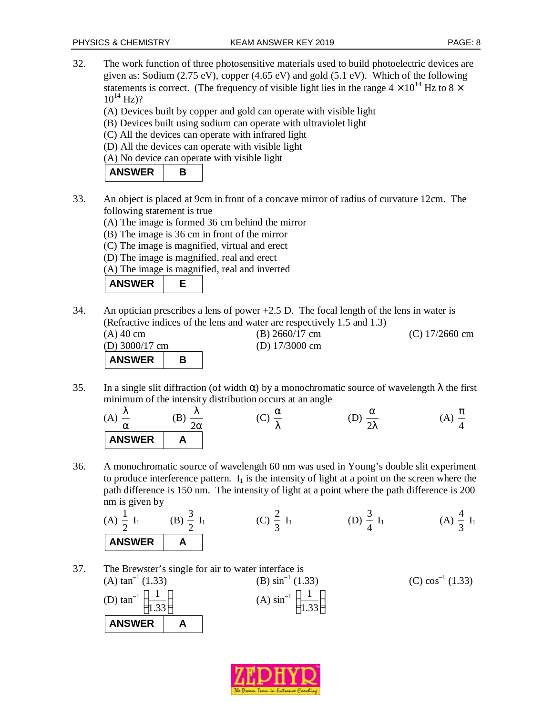- 32. The work function of three photosensitive materials used to build photoelectric devices are given as: Sodium (2.75 eV), copper (4.65 eV) and gold (5.1 eV). Which of the following statements is correct. (The frequency of visible light lies in the range  $4 \times 10^{14}$  Hz to  $8 \times$  $10^{14}$  Hz)?
	- (A) Devices built by copper and gold can operate with visible light
	- (B) Devices built using sodium can operate with ultraviolet light
	- (C) All the devices can operate with infrared light
	- (D) All the devices can operate with visible light
	- (A) No device can operate with visible light

| <b>ANSWER</b> |  |
|---------------|--|
|---------------|--|

- 33. An object is placed at 9cm in front of a concave mirror of radius of curvature 12cm. The following statement is true
	- (A) The image is formed 36 cm behind the mirror
	- (B) The image is 36 cm in front of the mirror
	- (C) The image is magnified, virtual and erect
	- (D) The image is magnified, real and erect

(A) The image is magnified, real and inverted



34. An optician prescribes a lens of power +2.5 D. The focal length of the lens in water is (Refractive indices of the lens and water are respectively 1.5 and 1.3)

| $(A)$ 40 cm      |  | $(B)$ 2660/17 cm         | $(C)$ 17/2660 cm |
|------------------|--|--------------------------|------------------|
| (D) $3000/17$ cm |  | (D) $17/3000 \text{ cm}$ |                  |
| <b>ANSWER</b>    |  |                          |                  |

35. In a single slit diffraction (of width  $\alpha$ ) by a monochromatic source of wavelength  $\lambda$  the first minimum of the intensity distribution occurs at an angle

(A) 
$$
\frac{\lambda}{\alpha}
$$
 (B)  $\frac{\lambda}{2\alpha}$  (C)  $\frac{\alpha}{\lambda}$  (D)  $\frac{\alpha}{2\lambda}$  (A)  $\frac{\pi}{4}$   
ANSWER A

36. A monochromatic source of wavelength 60 nm was used in Young's double slit experiment to produce interference pattern.  $I_1$  is the intensity of light at a point on the screen where the path difference is 150 nm. The intensity of light at a point where the path difference is 200 nm is given by

(A) 
$$
\frac{1}{2}
$$
 I<sub>1</sub> (B)  $\frac{3}{2}$  I<sub>1</sub> (C)  $\frac{2}{3}$  I<sub>1</sub> (D)  $\frac{3}{4}$  I<sub>1</sub> (A)  $\frac{4}{3}$  I<sub>1</sub>

37. The Brewster's single for air to water interface is (A) tan<sup>-1</sup> (1.33) (B)  $\sin^{-1}(1.33)$ (C)  $\cos^{-1}(1.33)$ (D) tan<sup>-1</sup>  $\left(\frac{1}{12}\right)$ 1.33  $\left(\frac{1}{1.33}\right)$  (A)  $\sin^{-1}\left(\frac{1}{1.33}\right)$ **ANSWER** | A

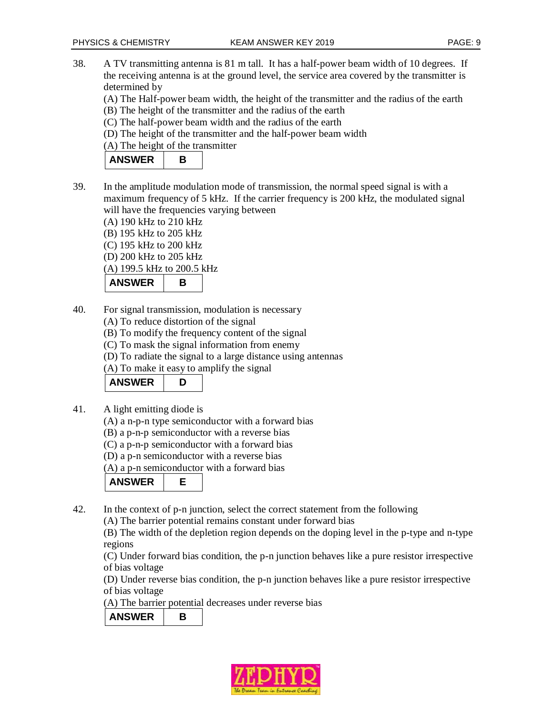38. A TV transmitting antenna is 81 m tall. It has a half-power beam width of 10 degrees. If the receiving antenna is at the ground level, the service area covered by the transmitter is determined by

(A) The Half-power beam width, the height of the transmitter and the radius of the earth

- (B) The height of the transmitter and the radius of the earth
- (C) The half-power beam width and the radius of the earth
- (D) The height of the transmitter and the half-power beam width
- (A) The height of the transmitter

| <b>ANSWER</b> |  |
|---------------|--|
|---------------|--|

- 39. In the amplitude modulation mode of transmission, the normal speed signal is with a maximum frequency of 5 kHz. If the carrier frequency is 200 kHz, the modulated signal will have the frequencies varying between
	- (A) 190 kHz to 210 kHz
	- (B) 195 kHz to 205 kHz
	- (C) 195 kHz to 200 kHz

(D) 200 kHz to 205 kHz

(A) 199.5 kHz to 200.5 kHz

ANSWER B

- 40. For signal transmission, modulation is necessary
	- (A) To reduce distortion of the signal
	- (B) To modify the frequency content of the signal
	- (C) To mask the signal information from enemy
	- (D) To radiate the signal to a large distance using antennas
	- (A) To make it easy to amplify the signal

# **ANSWER D**

- 41. A light emitting diode is
	- (A) a n-p-n type semiconductor with a forward bias
	- (B) a p-n-p semiconductor with a reverse bias
	- (C) a p-n-p semiconductor with a forward bias
	- (D) a p-n semiconductor with a reverse bias

(A) a p-n semiconductor with a forward bias

**ANSWER E** 

42. In the context of p-n junction, select the correct statement from the following

(A) The barrier potential remains constant under forward bias

(B) The width of the depletion region depends on the doping level in the p-type and n-type regions

(C) Under forward bias condition, the p-n junction behaves like a pure resistor irrespective of bias voltage

(D) Under reverse bias condition, the p-n junction behaves like a pure resistor irrespective of bias voltage

(A) The barrier potential decreases under reverse bias

ANSWER B

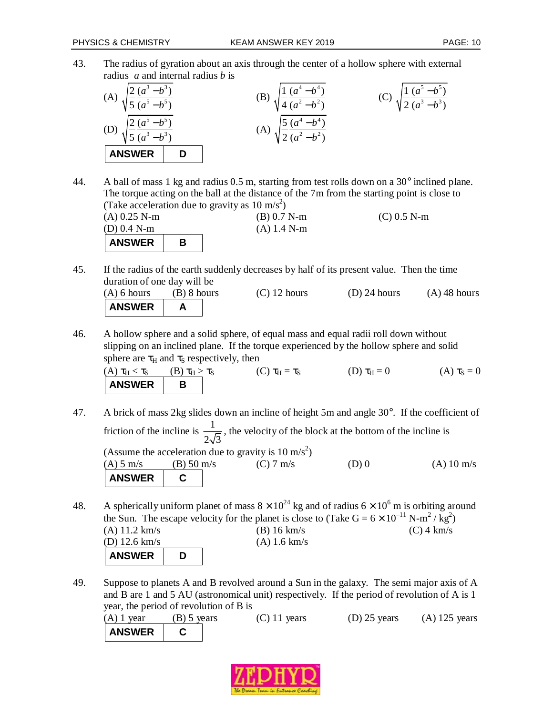43. The radius of gyration about an axis through the center of a hollow sphere with external radius *a* and internal radius *b* is

(A) 
$$
\sqrt{\frac{2(a^3-b^3)}{5(a^5-b^5)}}
$$
  
\n(B)  $\sqrt{\frac{1}{4}\frac{(a^4-b^4)}{(a^2-b^2)}}$   
\n(C)  $\sqrt{\frac{1}{2}\frac{(a^5-b^5)}{(a^3-b^3)}}$   
\n(A)  $\sqrt{\frac{5}{2}\frac{(a^4-b^4)}{(a^2-b^2)}}$   
\nANSWER\nD

44. A ball of mass 1 kg and radius  $0.5$  m, starting from test rolls down on a  $30^{\circ}$  inclined plane. The torque acting on the ball at the distance of the 7m from the starting point is close to (Take acceleration due to gravity as  $10 \text{ m/s}^2$ )

| $(A)$ 0.25 N-m<br>(D) 0.4 N-m |  |  | $(B) 0.7 N-m$<br>$(A)$ 1.4 N-m | $(C)$ 0.5 N-m |
|-------------------------------|--|--|--------------------------------|---------------|
| <b>ANSWER</b>                 |  |  |                                |               |

45. If the radius of the earth suddenly decreases by half of its present value. Then the time duration of one day will be

| $(A)$ 6 hours | (B) 8 hours | $(C)$ 12 hours | $(D)$ 24 hours | $(A)$ 48 hours |
|---------------|-------------|----------------|----------------|----------------|
| <b>ANSWER</b> |             |                |                |                |

46. A hollow sphere and a solid sphere, of equal mass and equal radii roll down without slipping on an inclined plane. If the torque experienced by the hollow sphere and solid sphere are  $\tau_H$  and  $\tau_S$  respectively, then

(A)  $\tau_H < \tau_S$  (B)  $\tau_H > \tau_S$  (C)  $\tau_H = \tau_S$  (D)  $\tau_H = 0$  (A)  $\tau_S = 0$ ANSWER B

- 47. A brick of mass 2kg slides down an incline of height 5m and angle 30°. If the coefficient of friction of the incline is  $\frac{1}{\sqrt{2}}$  $2\sqrt{3}$ , the velocity of the block at the bottom of the incline is (Assume the acceleration due to gravity is  $10 \text{ m/s}^2$ ) (A)  $5 \text{ m/s}$  (B)  $50 \text{ m/s}$  (C)  $7 \text{ m/s}$  (D) 0 (A)  $10 \text{ m/s}$ **ANSWER C**
- 48. A spherically uniform planet of mass  $8 \times 10^{24}$  kg and of radius  $6 \times 10^6$  m is orbiting around the Sun. The escape velocity for the planet is close to (Take  $G = 6 \times 10^{-11} \text{ N} \cdot \text{m}^2/\text{kg}^2$ ) (A) 11.2 km/s (B) 16 km/s (C) 4 km/s (D) 12.6 km/s (A) 1.6 km/s **ANSWER D**
- 49. Suppose to planets A and B revolved around a Sun in the galaxy. The semi major axis of A and B are 1 and 5 AU (astronomical unit) respectively. If the period of revolution of A is 1 year, the period of revolution of B is

| $(A)$ 1 year  | $(B)$ 5 years | $(C)$ 11 years | $(D)$ 25 years | $(A)$ 125 years |
|---------------|---------------|----------------|----------------|-----------------|
| <b>ANSWER</b> |               |                |                |                 |

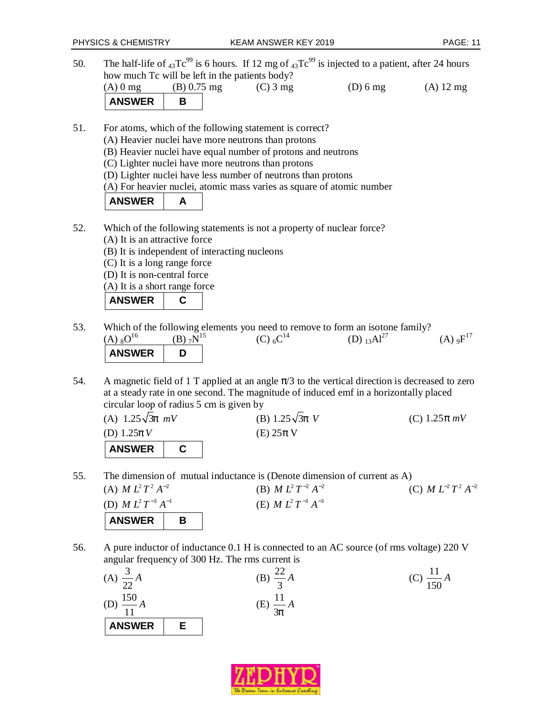50. The half-life of  $_{43}Te^{99}$  is 6 hours. If 12 mg of  $_{43}Te^{99}$  is injected to a patient, after 24 hours how much Tc will be left in the patients body?

| $(A)$ 0 mg    | $(B) 0.75$ mg | $(C)$ 3 mg | $(D)$ 6 mg | $(A)$ 12 mg |
|---------------|---------------|------------|------------|-------------|
| <b>ANSWER</b> |               |            |            |             |

- 51. For atoms, which of the following statement is correct?
	- (A) Heavier nuclei have more neutrons than protons
	- (B) Heavier nuclei have equal number of protons and neutrons

(C) Lighter nuclei have more neutrons than protons

- (D) Lighter nuclei have less number of neutrons than protons
- (A) For heavier nuclei, atomic mass varies as square of atomic number

| <b>ANSWER</b> |  |
|---------------|--|
|---------------|--|

- 52. Which of the following statements is not a property of nuclear force? (A) It is an attractive force
	- (B) It is independent of interacting nucleons
	- (C) It is a long range force
	- (D) It is non-central force
	- (A) It is a short range force



- 53. Which of the following elements you need to remove to form an isotone family?  $(A)$   $8$ O<sup>16</sup> (B)  $7^{15}$  $(C) 6C^{14}$  $(D)$  13 $Al^{27}$  $(A)$  o $F^{17}$ **ANSWER**
- 54. A magnetic field of 1 T applied at an angle  $\pi/3$  to the vertical direction is decreased to zero at a steady rate in one second. The magnitude of induced emf in a horizontally placed circular loop of radius 5 cm is given by

| (A) $1.25\sqrt{3}p$ mV | (B) 1.25 $\sqrt{3}p$ V | (C) 1.25 $p$ mV |
|------------------------|------------------------|-----------------|
| (D) $1.25pV$           | $(E)$ 25 $\pi$ V       |                 |
| <b>ANSWER</b>          |                        |                 |

55. The dimension of mutual inductance is (Denote dimension of current as A)<br>(A)  $M L^2 T^2 A^{-2}$  (B)  $M L^2 T^{-2} A^{-2}$  (C)  $M L^{-2} T^2 A^{-2}$ 



56. A pure inductor of inductance 0.1 H is connected to an AC source (of rms voltage) 220 V angular frequency of 300 Hz. The rms current is



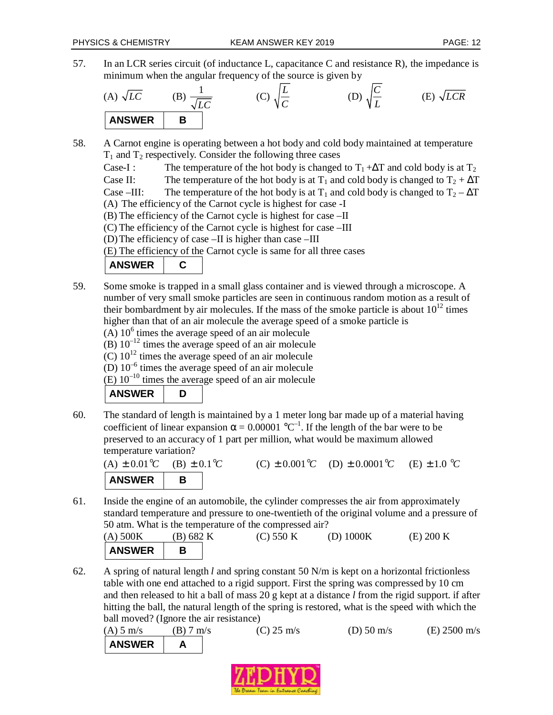- 
- 57. In an LCR series circuit (of inductance L, capacitance C and resistance R), the impedance is minimum when the angular frequency of the source is given by

(A) 
$$
\sqrt{LC}
$$
 (B)  $\frac{1}{\sqrt{LC}}$  (C)  $\sqrt{\frac{L}{C}}$  (D)  $\sqrt{\frac{C}{L}}$  (E)  $\sqrt{LCR}$ 

58. A Carnot engine is operating between a hot body and cold body maintained at temperature  $T_1$  and  $T_2$  respectively. Consider the following three cases

Case-I : The temperature of the hot body is changed to  $T_1 + \Delta T$  and cold body is at  $T_2$ Case II: The temperature of the hot body is at T<sub>1</sub> and cold body is changed to  $T_2 + \Delta T$ Case –III: The temperature of the hot body is at  $T_1$  and cold body is changed to  $T_2 - \Delta T$ (A) The efficiency of the Carnot cycle is highest for case -I (B) The efficiency of the Carnot cycle is highest for case –II

(C) The efficiency of the Carnot cycle is highest for case –III

(D)The efficiency of case –II is higher than case –III

(E) The efficiency of the Carnot cycle is same for all three cases

| <b>ANSWER</b> |  |
|---------------|--|
|               |  |

- 59. Some smoke is trapped in a small glass container and is viewed through a microscope. A number of very small smoke particles are seen in continuous random motion as a result of their bombardment by air molecules. If the mass of the smoke particle is about  $10^{12}$  times higher than that of an air molecule the average speed of a smoke particle is
	- $(A)$  10<sup>6</sup> times the average speed of an air molecule
	- (B)  $10^{-12}$  times the average speed of an air molecule
	- $(C)$  10<sup>12</sup> times the average speed of an air molecule
	- (D)  $10^{-6}$  times the average speed of an air molecule

(E)  $10^{-10}$  times the average speed of an air molecule

ANSWER D

60. The standard of length is maintained by a 1 meter long bar made up of a material having coefficient of linear expansion  $\alpha = 0.00001 \,^{\circ}\text{C}^{-1}$ . If the length of the bar were to be preserved to an accuracy of 1 part per million, what would be maximum allowed temperature variation?

 $(A) \pm 0.01$ <sup>o</sup>C  $(B) \pm 0.1$ <sup>o</sup>C  $(C) \pm 0.001$ <sup>o</sup> $C$  $(D) \pm 0.0001$ <sup>o</sup>C  $(E) \pm 1.0$  °C **ANSWER** B

61. Inside the engine of an automobile, the cylinder compresses the air from approximately standard temperature and pressure to one-twentieth of the original volume and a pressure of 50 atm. What is the temperature of the compressed air?

| (A) 500K      | (B) 682 K | (C) 550 K | (D) $1000K$ | (E) 200 K |
|---------------|-----------|-----------|-------------|-----------|
| <b>ANSWER</b> |           |           |             |           |

62. A spring of natural length *l* and spring constant 50 N/m is kept on a horizontal frictionless table with one end attached to a rigid support. First the spring was compressed by 10 cm and then released to hit a ball of mass 20 g kept at a distance *l* from the rigid support. if after hitting the ball, the natural length of the spring is restored, what is the speed with which the ball moved? (Ignore the air resistance)

(A) 5 m/s (B) 7 m/s (C) 25 m/s (D) 50 m/s (E) 2500 m/s ANSWER A

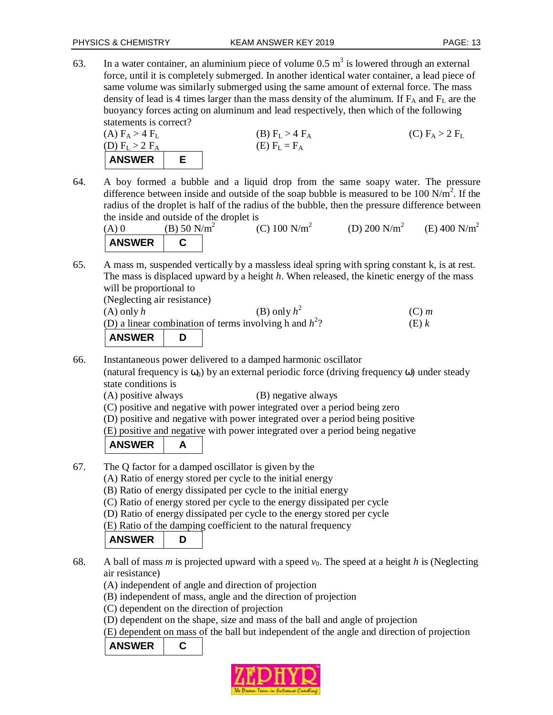63. In a water container, an aluminium piece of volume 0.5  $m^3$  is lowered through an external force, until it is completely submerged. In another identical water container, a lead piece of same volume was similarly submerged using the same amount of external force. The mass density of lead is 4 times larger than the mass density of the aluminum. If  $F_A$  and  $F_L$  are the buoyancy forces acting on aluminum and lead respectively, then which of the following statements is correct?

| (A) $F_A > 4$ $F_L$ | (B) $F_L > 4$ $F_A$ | (C) $F_A > 2$ $F_L$ |
|---------------------|---------------------|---------------------|
| (D) $F_L > 2$ $F_A$ | (E) $F_L = F_A$     | (C) $F_A > 2$ $F_L$ |

64. A boy formed a bubble and a liquid drop from the same soapy water. The pressure difference between inside and outside of the soap bubble is measured to be 100  $N/m^2$ . If the radius of the droplet is half of the radius of the bubble, then the pressure difference between the inside and outside of the droplet is

(A) 0 (B) 50  $N/m^2$ (C)  $100 \text{ N/m}^2$ (D) 200  $N/m^2$ (E) 400  $N/m^2$ ANSWER | C

65. A mass m, suspended vertically by a massless ideal spring with spring constant k, is at rest. The mass is displaced upward by a height *h*. When released, the kinetic energy of the mass will be proportional to

| (Neglecting air resistance) |  |  |
|-----------------------------|--|--|
|                             |  |  |

| $(A)$ only $h$ | (B) only $h^2$                                            | $(C)$ m |
|----------------|-----------------------------------------------------------|---------|
|                | (D) a linear combination of terms involving h and $h^2$ ? | (E) k   |
| ANSWER         |                                                           |         |

66. Instantaneous power delivered to a damped harmonic oscillator

(natural frequency is  $\omega_0$ ) by an external periodic force (driving frequency  $\omega$ ) under steady state conditions is

(A) positive always (B) negative always

(C) positive and negative with power integrated over a period being zero

(D) positive and negative with power integrated over a period being positive

(E) positive and negative with power integrated over a period being negative

| <b>ANSWER</b> |  |
|---------------|--|
|---------------|--|

- 67. The Q factor for a damped oscillator is given by the
	- (A) Ratio of energy stored per cycle to the initial energy
	- (B) Ratio of energy dissipated per cycle to the initial energy

(C) Ratio of energy stored per cycle to the energy dissipated per cycle

(D) Ratio of energy dissipated per cycle to the energy stored per cycle

(E) Ratio of the damping coefficient to the natural frequency

| <b>ANSWER</b> |  |
|---------------|--|
|---------------|--|

- 68. A ball of mass *m* is projected upward with a speed  $v_0$ . The speed at a height *h* is (Neglecting air resistance)
	- (A) independent of angle and direction of projection

(B) independent of mass, angle and the direction of projection

(C) dependent on the direction of projection

(D) dependent on the shape, size and mass of the ball and angle of projection

(E) dependent on mass of the ball but independent of the angle and direction of projection

### **ANSWER C**

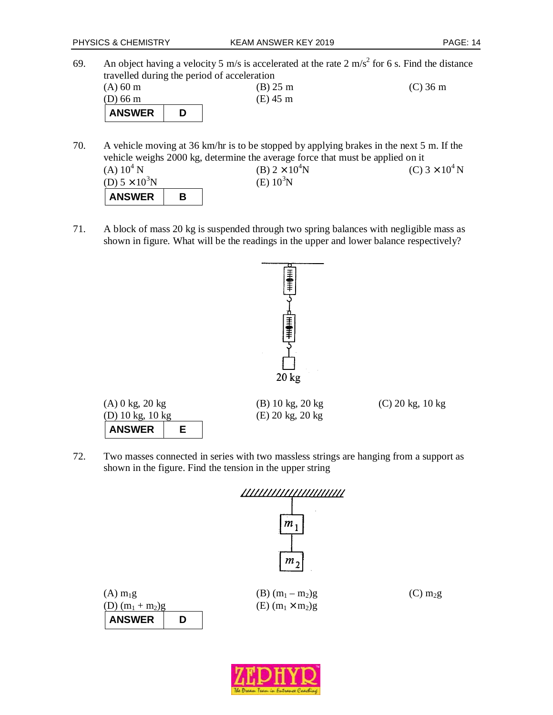69. An object having a velocity 5 m/s is accelerated at the rate 2 m/s<sup>2</sup> for 6 s. Find the distance travelled during the period of acceleration (A) 60 m (B) 25 m (C) 36 m (D) 66 m (E) 45 m ANSWER D

70. A vehicle moving at 36 km/hr is to be stopped by applying brakes in the next 5 m. If the vehicle weighs 2000 kg, determine the average force that must be applied on it (A)  $10^4$  N (B)  $2 \times 10^4$ N (C)  $3 \times 10^4$ N (D)  $5 \times 10^3$ N (E)  $10^3$ N ANSWER | B

71. A block of mass 20 kg is suspended through two spring balances with negligible mass as shown in figure. What will be the readings in the upper and lower balance respectively?



(A) 0 kg, 20 kg (B) 10 kg, 20 kg (C) 20 kg, 10 kg (D) 10 kg, 10 kg (E) 20 kg, 20 kg **ANSWER E** 

72. Two masses connected in series with two massless strings are hanging from a support as shown in the figure. Find the tension in the upper string

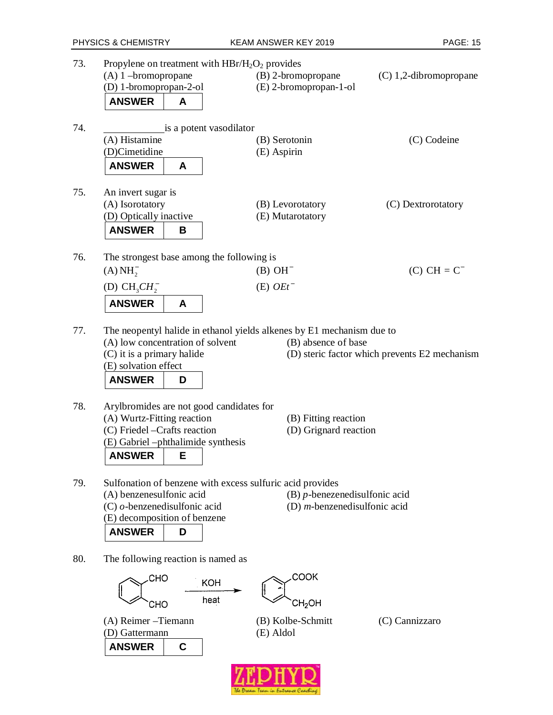| 73. | Propylene on treatment with $HBr/H_2O_2$ provides<br>$(A)$ 1 -bromopropane<br>(D) 1-bromopropan-2-ol<br><b>ANSWER</b><br>A                                                    | (B) 2-bromopropane<br>(E) 2-bromopropan-1-ol                                                 | $(C)$ 1,2-dibromopropane                      |
|-----|-------------------------------------------------------------------------------------------------------------------------------------------------------------------------------|----------------------------------------------------------------------------------------------|-----------------------------------------------|
| 74. | is a potent vasodilator<br>(A) Histamine<br>(D)Cimetidine<br><b>ANSWER</b><br>A                                                                                               | (B) Serotonin<br>(E) Aspirin                                                                 | (C) Codeine                                   |
| 75. | An invert sugar is<br>(A) Isorotatory<br>(D) Optically inactive<br><b>ANSWER</b><br>В                                                                                         | (B) Levorotatory<br>(E) Mutarotatory                                                         | (C) Dextrorotatory                            |
| 76. | The strongest base among the following is<br>(A) NH <sub>2</sub><br>(D) $CH3CH2$<br><b>ANSWER</b><br>A                                                                        | $(B)$ OH <sup>-</sup><br>$(E)$ OEt <sup>-</sup>                                              | $(C) CH = C^-$                                |
| 77. | (A) low concentration of solvent<br>(C) it is a primary halide<br>(E) solvation effect<br><b>ANSWER</b><br>D                                                                  | The neopentyl halide in ethanol yields alkenes by E1 mechanism due to<br>(B) absence of base | (D) steric factor which prevents E2 mechanism |
| 78. | Arylbromides are not good candidates for<br>(A) Wurtz-Fitting reaction<br>(C) Friedel - Crafts reaction<br>(E) Gabriel -phthalimide synthesis<br><b>ANSWER</b><br>E           | (B) Fitting reaction<br>(D) Grignard reaction                                                |                                               |
| 79. | Sulfonation of benzene with excess sulfuric acid provides<br>(A) benzenesulfonic acid<br>$(C)$ o-benzenedisulfonic acid<br>(E) decomposition of benzene<br><b>ANSWER</b><br>D | $(B)$ <i>p</i> -benezenedisulfonic acid<br>(D) $m$ -benzenedisulfonic acid                   |                                               |
| 80. | The following reaction is named as<br>СНО<br><b>KOH</b><br>heat<br>СНО                                                                                                        | COOK<br>CH <sub>2</sub> OH                                                                   |                                               |
|     | (A) Reimer - Tiemann<br>(D) Gattermann<br><b>ANSWER</b><br>C                                                                                                                  | (B) Kolbe-Schmitt<br>(E) Aldol                                                               | (C) Cannizzaro                                |

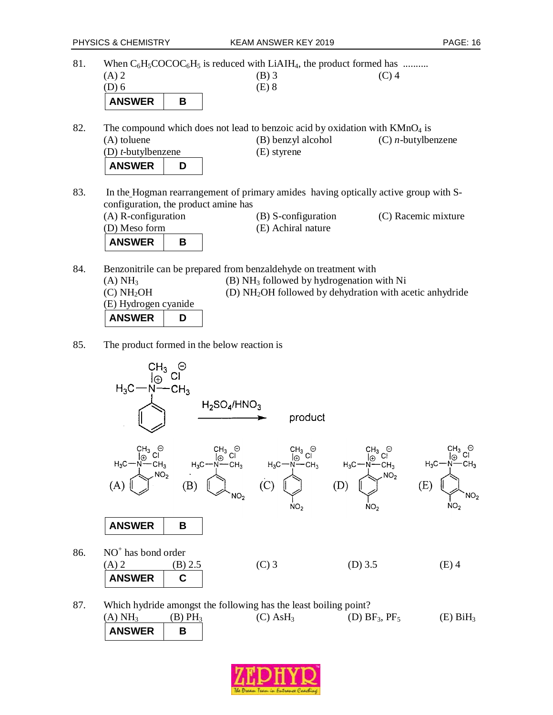81. When  $C_6H_5COCOC_6H_5$  is reduced with LiAIH<sub>4</sub>, the product formed has ......... (A) 2 (B) 3 (C) 4 (D) 6 (E) 8 ANSWER B

82. The compound which does not lead to benzoic acid by oxidation with  $KMnO<sub>4</sub>$  is (A) toluene (B) benzyl alcohol (C) *n*-butylbenzene (D) *t*-butylbenzene (E) styrene **ANSWER D** 

83. In the Hogman rearrangement of primary amides having optically active group with Sconfiguration, the product amine has (A) R-configuration (B) S-configuration (C) Racemic mixture

| $(A)$ N-component $(A)$<br>(D) Meso form |  | $(D)$ 3-configuration<br>(E) Achiral nature | (U) NAUTHIU HIIAIUIT |
|------------------------------------------|--|---------------------------------------------|----------------------|
| <b>ANSWER</b>                            |  |                                             |                      |

- 84. Benzonitrile can be prepared from benzaldehyde on treatment with (A)  $NH<sub>3</sub>$  (B)  $NH<sub>3</sub>$  followed by hydrogenation with Ni (C) NH2OH (D) NH2OH followed by dehydration with acetic anhydride (E) Hydrogen cyanide ANSWER D
- 85. The product formed in the below reaction is



87. Which hydride amongst the following has the least boiling point? (A)  $NH_3$  (B)  $PH_3$  (C)  $AsH_3$  (D)  $BF_3$ ,  $PF_5$  (E)  $BiH_3$ ANSWER B

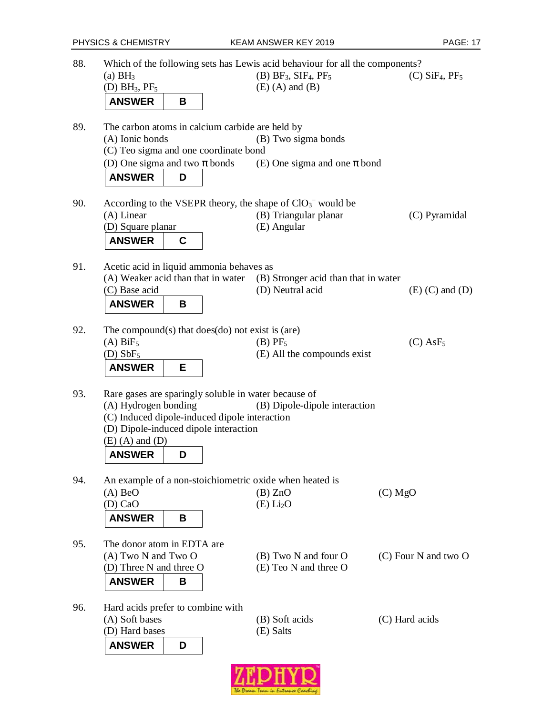| (D) BH <sub>3</sub> , PF <sub>5</sub>                                                                                                                                                         | $(B)$ BF <sub>3</sub> , SIF <sub>4</sub> , PF <sub>5</sub><br>$(E)$ (A) and $(B)$ | $(C)$ SiF <sub>4</sub> , PF <sub>5</sub> |
|-----------------------------------------------------------------------------------------------------------------------------------------------------------------------------------------------|-----------------------------------------------------------------------------------|------------------------------------------|
| <b>ANSWER</b><br>В                                                                                                                                                                            |                                                                                   |                                          |
| The carbon atoms in calcium carbide are held by<br>(A) Ionic bonds<br>(C) Teo sigma and one coordinate bond                                                                                   | (B) Two sigma bonds                                                               |                                          |
| (D) One sigma and two $\pi$ bonds<br><b>ANSWER</b><br>D                                                                                                                                       | (E) One sigma and one $\pi$ bond                                                  |                                          |
| According to the VSEPR theory, the shape of $ClO_3^-$ would be<br>$(A)$ Linear                                                                                                                | (B) Triangular planar                                                             | (C) Pyramidal                            |
| (D) Square planar<br><b>ANSWER</b><br>C                                                                                                                                                       | (E) Angular                                                                       |                                          |
| Acetic acid in liquid ammonia behaves as                                                                                                                                                      |                                                                                   |                                          |
| (A) Weaker acid than that in water<br>(C) Base acid                                                                                                                                           | (B) Stronger acid than that in water<br>(D) Neutral acid                          | $(E)$ (C) and $(D)$                      |
| <b>ANSWER</b><br>B                                                                                                                                                                            |                                                                                   |                                          |
| The compound(s) that $does$ (do) not exist is (are)<br>$(A)$ BiF <sub>5</sub><br>$(D)$ SbF <sub>5</sub>                                                                                       | $(B)$ PF <sub>5</sub><br>(E) All the compounds exist                              | $(C)$ AsF <sub>5</sub>                   |
| <b>ANSWER</b><br>Е                                                                                                                                                                            |                                                                                   |                                          |
| Rare gases are sparingly soluble in water because of<br>(A) Hydrogen bonding<br>(C) Induced dipole-induced dipole interaction<br>(D) Dipole-induced dipole interaction<br>$(E)$ (A) and $(D)$ | (B) Dipole-dipole interaction                                                     |                                          |
| <b>ANSWER</b><br>D                                                                                                                                                                            |                                                                                   |                                          |
| An example of a non-stoichiometric oxide when heated is<br>$(A)$ BeO<br>(D) CaO<br><b>ANSWER</b><br>В                                                                                         | (B) ZnO<br>(E) Li <sub>2</sub> O                                                  | $(C)$ MgO                                |
|                                                                                                                                                                                               |                                                                                   |                                          |
|                                                                                                                                                                                               |                                                                                   | (C) Four N and two O                     |
| The donor atom in EDTA are<br>(A) Two N and Two O<br>(D) Three N and three O<br><b>ANSWER</b><br>В                                                                                            | (B) Two N and four O<br>(E) Teo N and three O                                     |                                          |

**ZEDHYQ**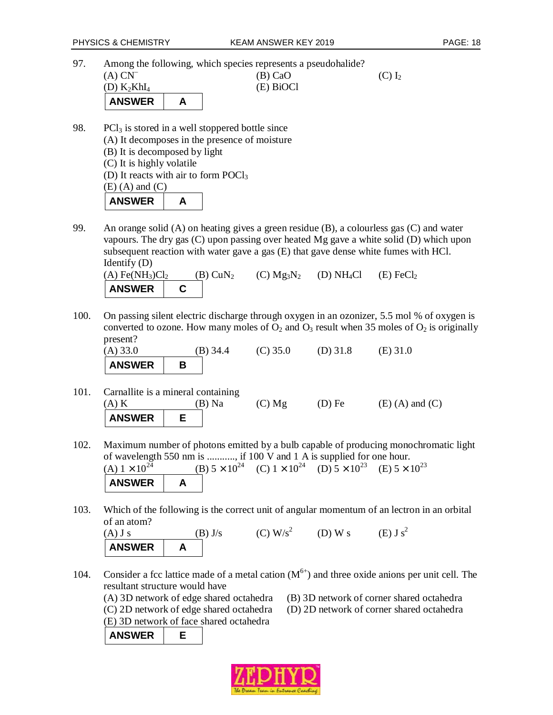97. Among the following, which species represents a pseudohalide?

| $(A) CN^{-}$<br>(D) $K_2KhI_4$ | -<br>$(B)$ CaO<br>(E) BiOCl | $(C) I_2$ |
|--------------------------------|-----------------------------|-----------|
| <b>ANSWER</b>                  |                             |           |

98. PC $l_3$  is stored in a well stoppered bottle since (A) It decomposes in the presence of moisture (B) It is decomposed by light (C) It is highly volatile (D) It reacts with air to form POCl<sub>3</sub>  $(E)$  (A) and  $(C)$ ANSWER | A

99. An orange solid (A) on heating gives a green residue (B), a colourless gas (C) and water vapours. The dry gas (C) upon passing over heated Mg gave a white solid (D) which upon subsequent reaction with water gave a gas (E) that gave dense white fumes with HCl. Identify (D)

| $(A)$ Fe(NH <sub>3</sub> )Cl <sub>2</sub> | $(B)$ CuN <sub>2</sub> | (C) $Mg_3N_2$ (D) $NH_4Cl$ (E) FeCl <sub>2</sub> |  |
|-------------------------------------------|------------------------|--------------------------------------------------|--|
| ANSWER C                                  |                        |                                                  |  |

100. On passing silent electric discharge through oxygen in an ozonizer, 5.5 mol % of oxygen is converted to ozone. How many moles of  $O_2$  and  $O_3$  result when 35 moles of  $O_2$  is originally present?

| $(A)$ 33.0    | $(B)$ 34.4 | $(C)$ 35.0 | $(D)$ 31.8 | $(E)$ 31.0 |
|---------------|------------|------------|------------|------------|
| <b>ANSWER</b> |            |            |            |            |

- 101. Carnallite is a mineral containing (A) K (B) Na (C) Mg (D) Fe (E) (A) and (C) **ANSWER E**
- 102. Maximum number of photons emitted by a bulb capable of producing monochromatic light of wavelength 550 nm is ..........., if 100 V and 1 A is supplied for one hour. (A)  $1 \times 10^{24}$  (B)  $5 \times 10^{24}$  (C)  $1 \times 10^{24}$  (D)  $5 \times 10^{23}$  (E)  $5 \times 10^{23}$ **ANSWER A**
- 103. Which of the following is the correct unit of angular momentum of an lectron in an orbital of an atom?

(A) J s (B) J/s (C) W/s<sup>2</sup> (D) W s (E) J s<sup>2</sup> **ANSWER | A** 

- 104. Consider a fcc lattice made of a metal cation  $(M<sup>6+</sup>)$  and three oxide anions per unit cell. The resultant structure would have
	- (A) 3D network of edge shared octahedra (B) 3D network of corner shared octahedra
	- (C) 2D network of edge shared octahedra (D) 2D network of corner shared octahedra
- - (E) 3D network of face shared octahedra

**ANSWER E** 

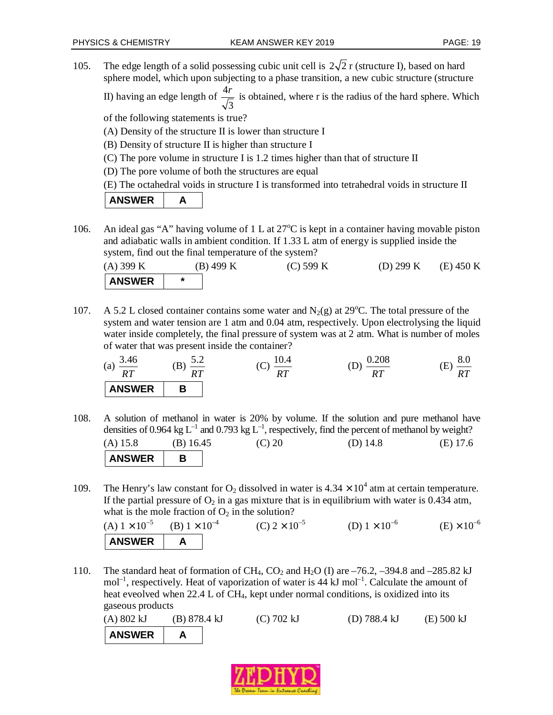105. The edge length of a solid possessing cubic unit cell is  $2\sqrt{2}$  r (structure I), based on hard sphere model, which upon subjecting to a phase transition, a new cubic structure (structure

II) having an edge length of  $\frac{4}{4}$ 3  $\frac{r}{r}$  is obtained, where r is the radius of the hard sphere. Which

of the following statements is true?

- (A) Density of the structure II is lower than structure I
- (B) Density of structure II is higher than structure I
- (C) The pore volume in structure I is 1.2 times higher than that of structure II
- (D) The pore volume of both the structures are equal

(E) The octahedral voids in structure I is transformed into tetrahedral voids in structure II

| <b>ANSWER</b> |  |
|---------------|--|
|---------------|--|

106. An ideal gas "A" having volume of 1 L at  $27^{\circ}$ C is kept in a container having movable piston and adiabatic walls in ambient condition. If 1.33 L atm of energy is supplied inside the system, find out the final temperature of the system?

| $(A)$ 399 K   | $(B)$ 499 K | $(C)$ 599 K | (D) 299 K | $(E)$ 450 K |
|---------------|-------------|-------------|-----------|-------------|
| <b>ANSWER</b> |             |             |           |             |

107. A 5.2 L closed container contains some water and  $N_2(g)$  at 29<sup>o</sup>C. The total pressure of the system and water tension are 1 atm and 0.04 atm, respectively. Upon electrolysing the liquid water inside completely, the final pressure of system was at 2 atm. What is number of moles of water that was present inside the container?

| 3.46<br>(a)<br>RТ<br>. | ے . _<br>u<br>DT.<br>. | .v.4<br>$\tilde{\phantom{a}}$<br>$\check{ }$<br>$n\pi$<br>*** | ∪.∠∪ŏ<br>nт<br>*** | o.v<br>$\overline{\phantom{a}}$<br>nπ<br>K I |
|------------------------|------------------------|---------------------------------------------------------------|--------------------|----------------------------------------------|
| <b>ANSWER</b>          |                        |                                                               |                    |                                              |

- 108. A solution of methanol in water is 20% by volume. If the solution and pure methanol have densities of 0.964 kg  $L^{-1}$  and 0.793 kg  $L^{-1}$ , respectively, find the percent of methanol by weight? (A) 15.8 (B) 16.45 (C) 20 (D) 14.8 (E) 17.6 ANSWER B
- 109. The Henry's law constant for  $O_2$  dissolved in water is  $4.34 \times 10^4$  atm at certain temperature. If the partial pressure of  $O_2$  in a gas mixture that is in equilibrium with water is 0.434 atm, what is the mole fraction of  $O_2$  in the solution?

(A)  $1 \times 10^{-5}$  (B)  $1 \times 10^{-4}$ (C)  $2 \times 10^{-5}$  (D)  $1 \times 10^{-6}$  (E)  $\times 10^{-6}$ ANSWER | A

110. The standard heat of formation of CH<sub>4</sub>, CO<sub>2</sub> and H<sub>2</sub>O (I) are  $-76.2$ ,  $-394.8$  and  $-285.82$  kJ  $mol^{-1}$ , respectively. Heat of vaporization of water is 44 kJ mol<sup>-1</sup>. Calculate the amount of heat eveolved when 22.4 L of CH4, kept under normal conditions, is oxidized into its gaseous products

| (A) 802 kJ    | $(B)$ 878.4 kJ |  | $(C)$ 702 kJ | (D) $788.4 \text{ kJ}$ | $(E)$ 500 kJ |
|---------------|----------------|--|--------------|------------------------|--------------|
| <b>ANSWER</b> |                |  |              |                        |              |

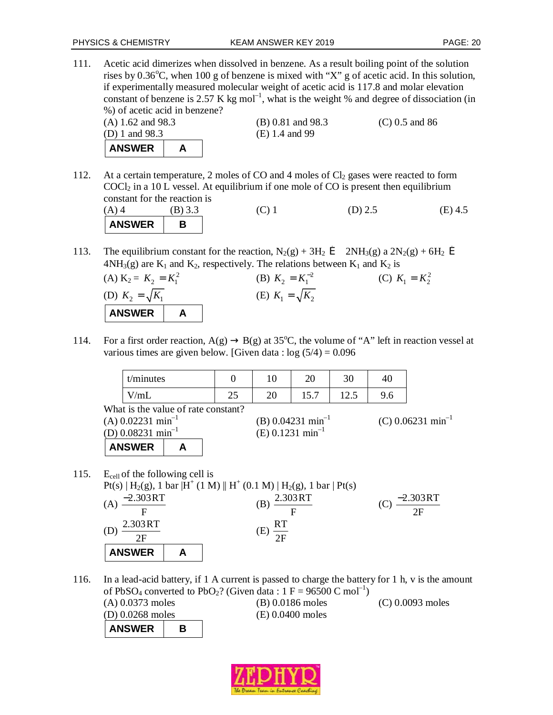111. Acetic acid dimerizes when dissolved in benzene. As a result boiling point of the solution rises by  $0.36^{\circ}$ C, when 100 g of benzene is mixed with "X" g of acetic acid. In this solution, if experimentally measured molecular weight of acetic acid is 117.8 and molar elevation constant of benzene is 2.57 K kg mol<sup>-1</sup>, what is the weight % and degree of dissociation (in %) of acetic acid in benzene?



112. At a certain temperature, 2 moles of CO and 4 moles of  $Cl_2$  gases were reacted to form  $COCl<sub>2</sub>$  in a 10 L vessel. At equilibrium if one mole of CO is present then equilibrium constant for the reaction is

| $(A)$ 4       | (B) 3.3 | $\left(\bigcup_{i=1}^{n}$ | (D) $2.5$ | $(E)$ 4.5 |
|---------------|---------|---------------------------|-----------|-----------|
| <b>ANSWER</b> |         |                           |           |           |

113. The equilibrium constant for the reaction,  $N_2(g) + 3H_2 \, \mathbf{f}$   $2NH_3(g)$  a  $2N_2(g) + 6H_2 \, \mathbf{f}$  $4NH<sub>3</sub>(g)$  are  $K<sub>1</sub>$  and  $K<sub>2</sub>$ , respectively. The relations between  $K<sub>1</sub>$  and  $K<sub>2</sub>$  is

(A) 
$$
K_2 = K_2 = K_1^2
$$
  
\n(B)  $K_2 = K_1^{-2}$   
\n(C)  $K_1 = K_2^2$   
\n(D)  $K_2 = \sqrt{K_1}$   
\n(B)  $K_2 = K_1^{-2}$   
\n(C)  $K_1 = K_2^2$   
\n(D)  $K_2 = \sqrt{K_2}$ 

114. For a first order reaction,  $A(g) \rightarrow B(g)$  at 35°C, the volume of "A" left in reaction vessel at various times are given below. [Given data :  $log(5/4) = 0.096$ 

| t/minutes |           | ⊥ ∪      | oc<br>∠∪              | $\overline{c}$<br>υc | 40  |
|-----------|-----------|----------|-----------------------|----------------------|-----|
| V/mL      | ጎድ<br>ر ب | ററ<br>∠∪ | $\epsilon$<br>1 J . I | ن ۱۷                 | 9.6 |

What is the value of rate constant?

| (A) 0.02231 $\text{min}^{-1}$<br>(D) 0.08231 $\text{min}^{-1}$ |  | (B) $0.04231 \text{ min}^{-1}$<br>(E) $0.1231 \text{ min}^{-1}$ | (C) 0.06231 min <sup>-1</sup> |
|----------------------------------------------------------------|--|-----------------------------------------------------------------|-------------------------------|
| <b>ANSWER</b>                                                  |  |                                                                 |                               |

115. E<sub>cell</sub> of the following cell is

|               | $Pt(s)   H_2(g), 1 bar   H^+(1 M)    H^+(0.1 M)   H_2(g), 1 bar   Pt(s)$ |            |
|---------------|--------------------------------------------------------------------------|------------|
| $-2.303RT$    | 2.303RT                                                                  | $-2.303RT$ |
|               |                                                                          | 2F         |
| 2.303RT       | RT                                                                       |            |
| 2F            | Έ)                                                                       |            |
| <b>ANSWER</b> |                                                                          |            |

116. In a lead-acid battery, if 1 A current is passed to charge the battery for 1 h, v is the amount of PbSO<sub>4</sub> converted to PbO<sub>2</sub>? (Given data : 1 F = 96500 C mol<sup>-1</sup>)

(A) 0.0373 moles (B) 0.0186 moles (C) 0.0093 moles (D) 0.0268 moles (E) 0.0400 moles **ANSWER B**